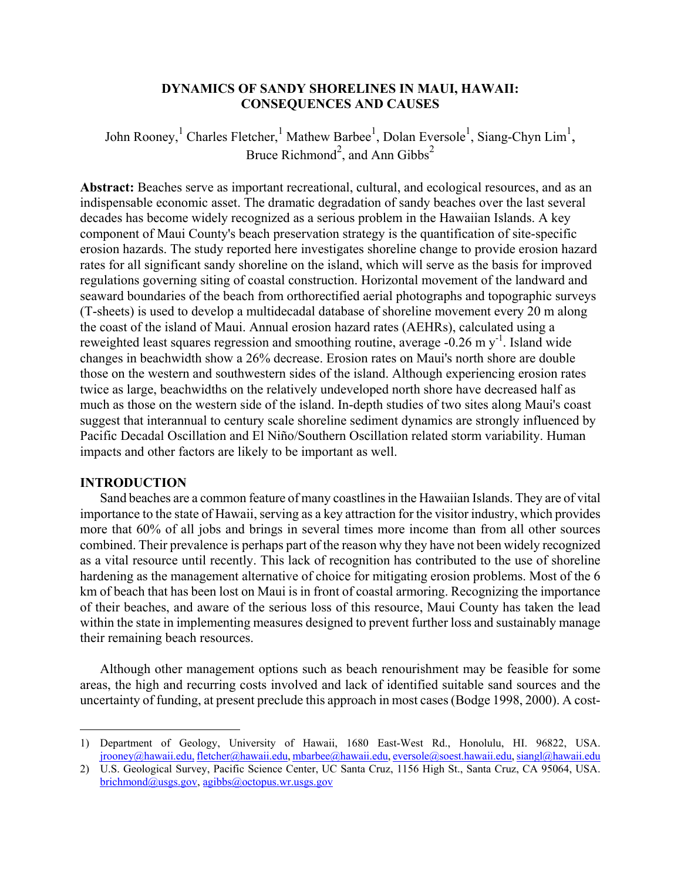## **DYNAMICS OF SANDY SHORELINES IN MAUI, HAWAII: CONSEQUENCES AND CAUSES**

John Rooney, <sup>[1](#page-0-0)</sup> Charles Fletcher, <sup>1</sup> Mathew Barbee<sup>1</sup>, Dolan Eversole<sup>1</sup>, Siang-Chyn Lim<sup>1</sup>, Bruce Richmond<sup>2</sup>, and Ann Gibbs<sup>2</sup>

**Abstract:** Beaches serve as important recreational, cultural, and ecological resources, and as an indispensable economic asset. The dramatic degradation of sandy beaches over the last several decades has become widely recognized as a serious problem in the Hawaiian Islands. A key component of Maui County's beach preservation strategy is the quantification of site-specific erosion hazards. The study reported here investigates shoreline change to provide erosion hazard rates for all significant sandy shoreline on the island, which will serve as the basis for improved regulations governing siting of coastal construction. Horizontal movement of the landward and seaward boundaries of the beach from orthorectified aerial photographs and topographic surveys (T-sheets) is used to develop a multidecadal database of shoreline movement every 20 m along the coast of the island of Maui. Annual erosion hazard rates (AEHRs), calculated using a reweighted least squares regression and smoothing routine, average  $-0.26$  m y<sup>-1</sup>. Island wide changes in beachwidth show a 26% decrease. Erosion rates on Maui's north shore are double those on the western and southwestern sides of the island. Although experiencing erosion rates twice as large, beachwidths on the relatively undeveloped north shore have decreased half as much as those on the western side of the island. In-depth studies of two sites along Maui's coast suggest that interannual to century scale shoreline sediment dynamics are strongly influenced by Pacific Decadal Oscillation and El Niño/Southern Oscillation related storm variability. Human impacts and other factors are likely to be important as well.

### **INTRODUCTION**

<u>.</u>

Sand beaches are a common feature of many coastlines in the Hawaiian Islands. They are of vital importance to the state of Hawaii, serving as a key attraction for the visitor industry, which provides more that 60% of all jobs and brings in several times more income than from all other sources combined. Their prevalence is perhaps part of the reason why they have not been widely recognized as a vital resource until recently. This lack of recognition has contributed to the use of shoreline hardening as the management alternative of choice for mitigating erosion problems. Most of the 6 km of beach that has been lost on Maui is in front of coastal armoring. Recognizing the importance of their beaches, and aware of the serious loss of this resource, Maui County has taken the lead within the state in implementing measures designed to prevent further loss and sustainably manage their remaining beach resources.

Although other management options such as beach renourishment may be feasible for some areas, the high and recurring costs involved and lack of identified suitable sand sources and the uncertainty of funding, at present preclude this approach in most cases (Bodge 1998, 2000). A cost-

<span id="page-0-0"></span><sup>1)</sup> Department of Geology, University of Hawaii, 1680 East-West Rd., Honolulu, HI. 96822, USA. [jrooney@hawaii.edu,](mailto:rdavis@chuma.cas.usf.edu) [fletcher@hawaii.edu, mbarbee@hawaii.edu, eversole@soest.hawaii.edu](mailto:phowd@marine.usf.edu), [siangl@hawaii.edu](mailto:phowd@marine.usf.edu) 

<sup>2)</sup> U.S. Geological Survey, Pacific Science Center, UC Santa Cruz, 1156 High St., Santa Cruz, CA 95064, USA. [brichmond@usgs.gov](mailto:brichmond@usgs.gov), agibbs@octopus.wr.usgs.gov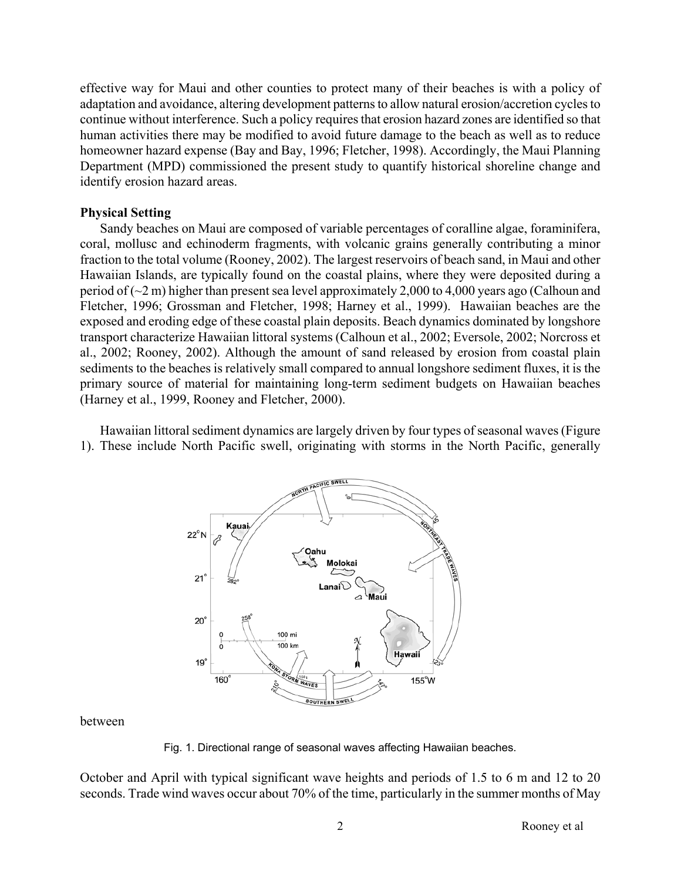effective way for Maui and other counties to protect many of their beaches is with a policy of adaptation and avoidance, altering development patterns to allow natural erosion/accretion cycles to continue without interference. Such a policy requires that erosion hazard zones are identified so that human activities there may be modified to avoid future damage to the beach as well as to reduce homeowner hazard expense (Bay and Bay, 1996; Fletcher, 1998). Accordingly, the Maui Planning Department (MPD) commissioned the present study to quantify historical shoreline change and identify erosion hazard areas.

### **Physical Setting**

Sandy beaches on Maui are composed of variable percentages of coralline algae, foraminifera, coral, mollusc and echinoderm fragments, with volcanic grains generally contributing a minor fraction to the total volume (Rooney, 2002). The largest reservoirs of beach sand, in Maui and other Hawaiian Islands, are typically found on the coastal plains, where they were deposited during a period of (~2 m) higher than present sea level approximately 2,000 to 4,000 years ago (Calhoun and Fletcher, 1996; Grossman and Fletcher, 1998; Harney et al., 1999). Hawaiian beaches are the exposed and eroding edge of these coastal plain deposits. Beach dynamics dominated by longshore transport characterize Hawaiian littoral systems (Calhoun et al., 2002; Eversole, 2002; Norcross et al., 2002; Rooney, 2002). Although the amount of sand released by erosion from coastal plain sediments to the beaches is relatively small compared to annual longshore sediment fluxes, it is the primary source of material for maintaining long-term sediment budgets on Hawaiian beaches (Harney et al., 1999, Rooney and Fletcher, 2000).

Hawaiian littoral sediment dynamics are largely driven by four types of seasonal waves (Figure 1). These include North Pacific swell, originating with storms in the North Pacific, generally



between

Fig. 1. Directional range of seasonal waves affecting Hawaiian beaches.

October and April with typical significant wave heights and periods of 1.5 to 6 m and 12 to 20 seconds. Trade wind waves occur about 70% of the time, particularly in the summer months of May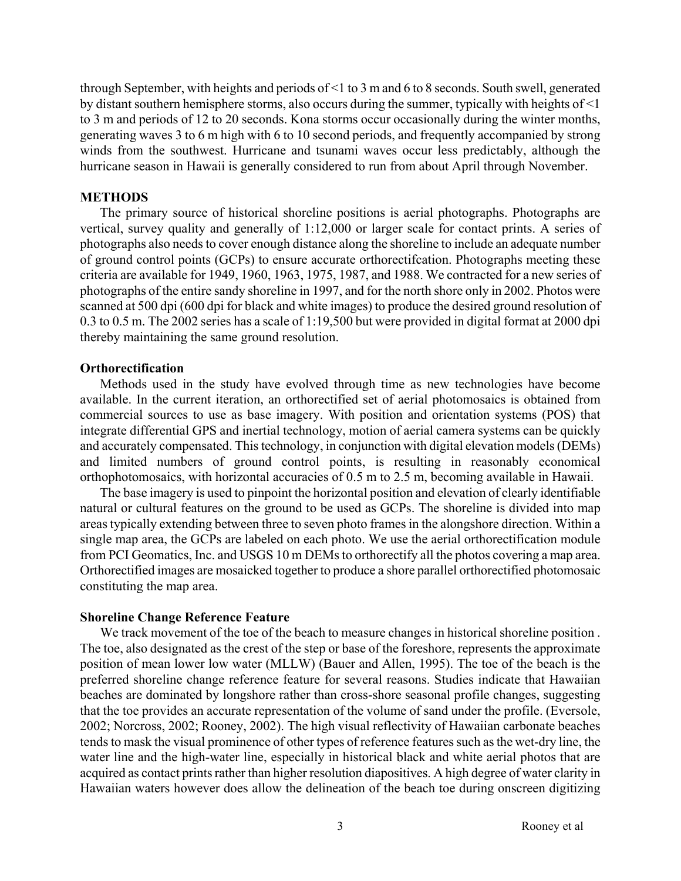through September, with heights and periods of <1 to 3 m and 6 to 8 seconds. South swell, generated by distant southern hemisphere storms, also occurs during the summer, typically with heights of <1 to 3 m and periods of 12 to 20 seconds. Kona storms occur occasionally during the winter months, generating waves 3 to 6 m high with 6 to 10 second periods, and frequently accompanied by strong winds from the southwest. Hurricane and tsunami waves occur less predictably, although the hurricane season in Hawaii is generally considered to run from about April through November.

#### **METHODS**

The primary source of historical shoreline positions is aerial photographs. Photographs are vertical, survey quality and generally of 1:12,000 or larger scale for contact prints. A series of photographs also needs to cover enough distance along the shoreline to include an adequate number of ground control points (GCPs) to ensure accurate orthorectifcation. Photographs meeting these criteria are available for 1949, 1960, 1963, 1975, 1987, and 1988. We contracted for a new series of photographs of the entire sandy shoreline in 1997, and for the north shore only in 2002. Photos were scanned at 500 dpi (600 dpi for black and white images) to produce the desired ground resolution of 0.3 to 0.5 m. The 2002 series has a scale of 1:19,500 but were provided in digital format at 2000 dpi thereby maintaining the same ground resolution.

### **Orthorectification**

Methods used in the study have evolved through time as new technologies have become available. In the current iteration, an orthorectified set of aerial photomosaics is obtained from commercial sources to use as base imagery. With position and orientation systems (POS) that integrate differential GPS and inertial technology, motion of aerial camera systems can be quickly and accurately compensated. This technology, in conjunction with digital elevation models (DEMs) and limited numbers of ground control points, is resulting in reasonably economical orthophotomosaics, with horizontal accuracies of 0.5 m to 2.5 m, becoming available in Hawaii.

The base imagery is used to pinpoint the horizontal position and elevation of clearly identifiable natural or cultural features on the ground to be used as GCPs. The shoreline is divided into map areas typically extending between three to seven photo frames in the alongshore direction. Within a single map area, the GCPs are labeled on each photo. We use the aerial orthorectification module from PCI Geomatics, Inc. and USGS 10 m DEMs to orthorectify all the photos covering a map area. Orthorectified images are mosaicked together to produce a shore parallel orthorectified photomosaic constituting the map area.

## **Shoreline Change Reference Feature**

We track movement of the toe of the beach to measure changes in historical shoreline position . The toe, also designated as the crest of the step or base of the foreshore, represents the approximate position of mean lower low water (MLLW) (Bauer and Allen, 1995). The toe of the beach is the preferred shoreline change reference feature for several reasons. Studies indicate that Hawaiian beaches are dominated by longshore rather than cross-shore seasonal profile changes, suggesting that the toe provides an accurate representation of the volume of sand under the profile. (Eversole, 2002; Norcross, 2002; Rooney, 2002). The high visual reflectivity of Hawaiian carbonate beaches tends to mask the visual prominence of other types of reference features such as the wet-dry line, the water line and the high-water line, especially in historical black and white aerial photos that are acquired as contact prints rather than higher resolution diapositives. A high degree of water clarity in Hawaiian waters however does allow the delineation of the beach toe during onscreen digitizing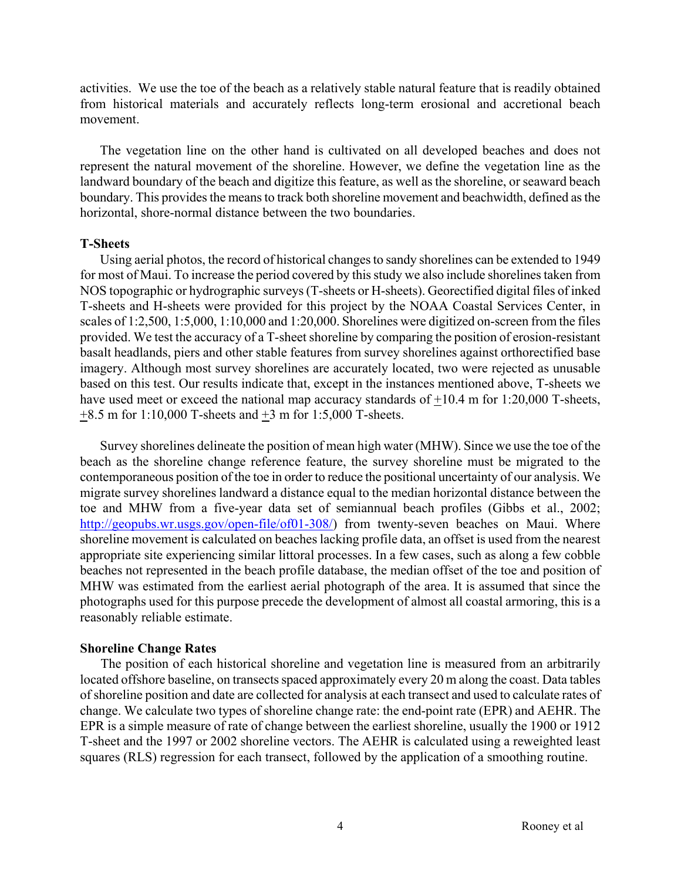activities. We use the toe of the beach as a relatively stable natural feature that is readily obtained from historical materials and accurately reflects long-term erosional and accretional beach movement.

The vegetation line on the other hand is cultivated on all developed beaches and does not represent the natural movement of the shoreline. However, we define the vegetation line as the landward boundary of the beach and digitize this feature, as well as the shoreline, or seaward beach boundary. This provides the means to track both shoreline movement and beachwidth, defined as the horizontal, shore-normal distance between the two boundaries.

### **T-Sheets**

Using aerial photos, the record of historical changes to sandy shorelines can be extended to 1949 for most of Maui. To increase the period covered by this study we also include shorelines taken from NOS topographic or hydrographic surveys (T-sheets or H-sheets). Georectified digital files of inked T-sheets and H-sheets were provided for this project by the NOAA Coastal Services Center, in scales of 1:2,500, 1:5,000, 1:10,000 and 1:20,000. Shorelines were digitized on-screen from the files provided. We test the accuracy of a T-sheet shoreline by comparing the position of erosion-resistant basalt headlands, piers and other stable features from survey shorelines against orthorectified base imagery. Although most survey shorelines are accurately located, two were rejected as unusable based on this test. Our results indicate that, except in the instances mentioned above, T-sheets we have used meet or exceed the national map accuracy standards of  $+10.4$  m for 1:20,000 T-sheets,  $\pm 8.5$  m for 1:10,000 T-sheets and  $\pm 3$  m for 1:5,000 T-sheets.

Survey shorelines delineate the position of mean high water (MHW). Since we use the toe of the beach as the shoreline change reference feature, the survey shoreline must be migrated to the contemporaneous position of the toe in order to reduce the positional uncertainty of our analysis. We migrate survey shorelines landward a distance equal to the median horizontal distance between the toe and MHW from a five-year data set of semiannual beach profiles (Gibbs et al., 2002; <http://geopubs.wr.usgs.gov/open-file/of01-308/>) from twenty-seven beaches on Maui. Where shoreline movement is calculated on beaches lacking profile data, an offset is used from the nearest appropriate site experiencing similar littoral processes. In a few cases, such as along a few cobble beaches not represented in the beach profile database, the median offset of the toe and position of MHW was estimated from the earliest aerial photograph of the area. It is assumed that since the photographs used for this purpose precede the development of almost all coastal armoring, this is a reasonably reliable estimate.

#### **Shoreline Change Rates**

The position of each historical shoreline and vegetation line is measured from an arbitrarily located offshore baseline, on transects spaced approximately every 20 m along the coast. Data tables of shoreline position and date are collected for analysis at each transect and used to calculate rates of change. We calculate two types of shoreline change rate: the end-point rate (EPR) and AEHR. The EPR is a simple measure of rate of change between the earliest shoreline, usually the 1900 or 1912 T-sheet and the 1997 or 2002 shoreline vectors. The AEHR is calculated using a reweighted least squares (RLS) regression for each transect, followed by the application of a smoothing routine.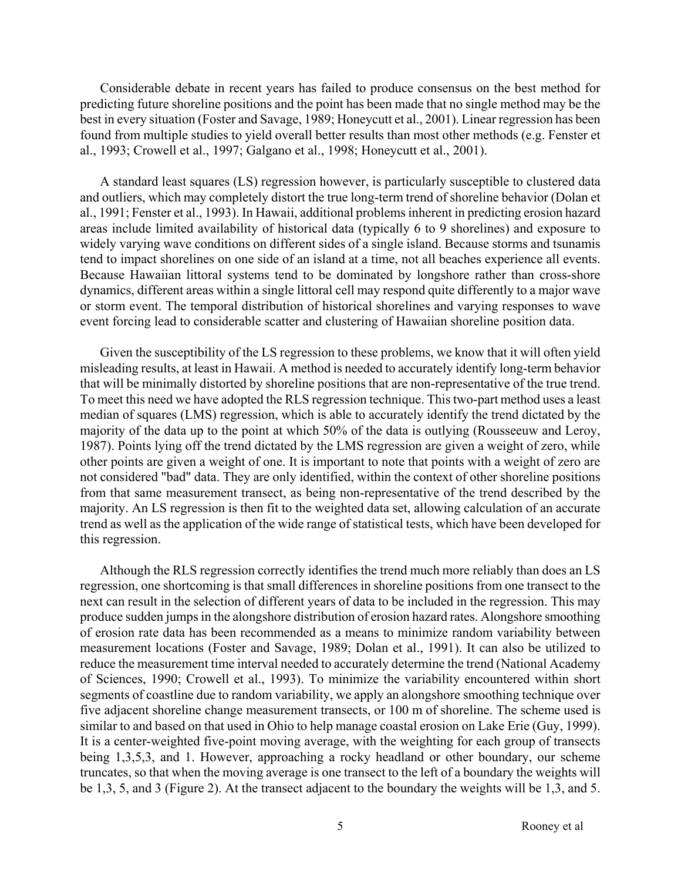Considerable debate in recent years has failed to produce consensus on the best method for predicting future shoreline positions and the point has been made that no single method may be the best in every situation (Foster and Savage, 1989; Honeycutt et al., 2001). Linear regression has been found from multiple studies to yield overall better results than most other methods (e.g. Fenster et al., 1993; Crowell et al., 1997; Galgano et al., 1998; Honeycutt et al., 2001).

A standard least squares (LS) regression however, is particularly susceptible to clustered data and outliers, which may completely distort the true long-term trend of shoreline behavior (Dolan et al., 1991; Fenster et al., 1993). In Hawaii, additional problems inherent in predicting erosion hazard areas include limited availability of historical data (typically 6 to 9 shorelines) and exposure to widely varying wave conditions on different sides of a single island. Because storms and tsunamis tend to impact shorelines on one side of an island at a time, not all beaches experience all events. Because Hawaiian littoral systems tend to be dominated by longshore rather than cross-shore dynamics, different areas within a single littoral cell may respond quite differently to a major wave or storm event. The temporal distribution of historical shorelines and varying responses to wave event forcing lead to considerable scatter and clustering of Hawaiian shoreline position data.

Given the susceptibility of the LS regression to these problems, we know that it will often yield misleading results, at least in Hawaii. A method is needed to accurately identify long-term behavior that will be minimally distorted by shoreline positions that are non-representative of the true trend. To meet this need we have adopted the RLS regression technique. This two-part method uses a least median of squares (LMS) regression, which is able to accurately identify the trend dictated by the majority of the data up to the point at which 50% of the data is outlying (Rousseeuw and Leroy, 1987). Points lying off the trend dictated by the LMS regression are given a weight of zero, while other points are given a weight of one. It is important to note that points with a weight of zero are not considered "bad" data. They are only identified, within the context of other shoreline positions from that same measurement transect, as being non-representative of the trend described by the majority. An LS regression is then fit to the weighted data set, allowing calculation of an accurate trend as well as the application of the wide range of statistical tests, which have been developed for this regression.

Although the RLS regression correctly identifies the trend much more reliably than does an LS regression, one shortcoming is that small differences in shoreline positions from one transect to the next can result in the selection of different years of data to be included in the regression. This may produce sudden jumps in the alongshore distribution of erosion hazard rates. Alongshore smoothing of erosion rate data has been recommended as a means to minimize random variability between measurement locations (Foster and Savage, 1989; Dolan et al., 1991). It can also be utilized to reduce the measurement time interval needed to accurately determine the trend (National Academy of Sciences, 1990; Crowell et al., 1993). To minimize the variability encountered within short segments of coastline due to random variability, we apply an alongshore smoothing technique over five adjacent shoreline change measurement transects, or 100 m of shoreline. The scheme used is similar to and based on that used in Ohio to help manage coastal erosion on Lake Erie (Guy, 1999). It is a center-weighted five-point moving average, with the weighting for each group of transects being 1,3,5,3, and 1. However, approaching a rocky headland or other boundary, our scheme truncates, so that when the moving average is one transect to the left of a boundary the weights will be 1,3, 5, and 3 (Figure 2). At the transect adjacent to the boundary the weights will be 1,3, and 5.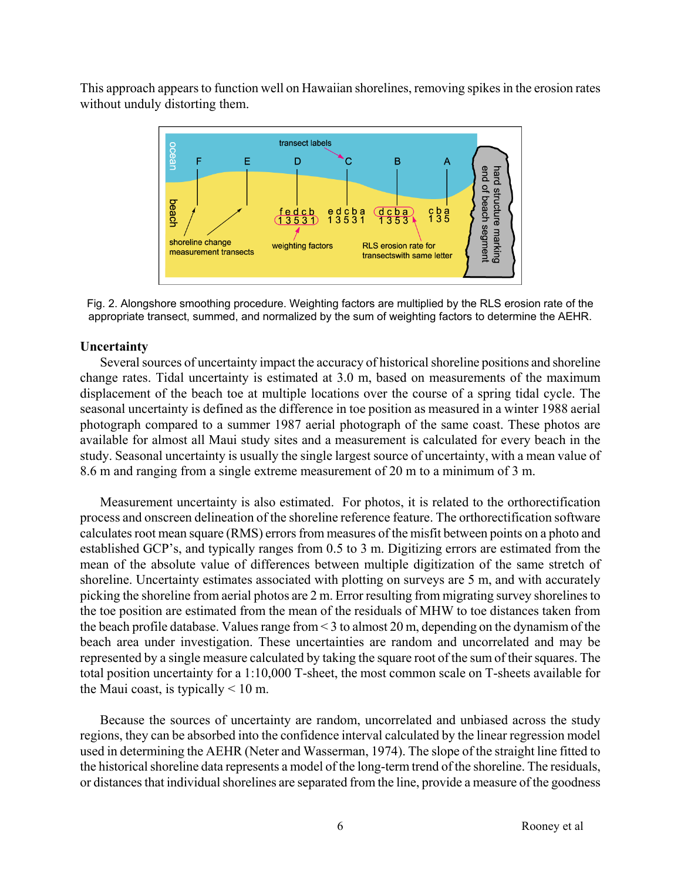This approach appears to function well on Hawaiian shorelines, removing spikes in the erosion rates without unduly distorting them.



Fig. 2. Alongshore smoothing procedure. Weighting factors are multiplied by the RLS erosion rate of the appropriate transect, summed, and normalized by the sum of weighting factors to determine the AEHR.

### **Uncertainty**

Several sources of uncertainty impact the accuracy of historical shoreline positions and shoreline change rates. Tidal uncertainty is estimated at 3.0 m, based on measurements of the maximum displacement of the beach toe at multiple locations over the course of a spring tidal cycle. The seasonal uncertainty is defined as the difference in toe position as measured in a winter 1988 aerial photograph compared to a summer 1987 aerial photograph of the same coast. These photos are available for almost all Maui study sites and a measurement is calculated for every beach in the study. Seasonal uncertainty is usually the single largest source of uncertainty, with a mean value of 8.6 m and ranging from a single extreme measurement of 20 m to a minimum of 3 m.

Measurement uncertainty is also estimated. For photos, it is related to the orthorectification process and onscreen delineation of the shoreline reference feature. The orthorectification software calculates root mean square (RMS) errors from measures of the misfit between points on a photo and established GCP's, and typically ranges from 0.5 to 3 m. Digitizing errors are estimated from the mean of the absolute value of differences between multiple digitization of the same stretch of shoreline. Uncertainty estimates associated with plotting on surveys are 5 m, and with accurately picking the shoreline from aerial photos are 2 m. Error resulting from migrating survey shorelines to the toe position are estimated from the mean of the residuals of MHW to toe distances taken from the beach profile database. Values range from < 3 to almost 20 m, depending on the dynamism of the beach area under investigation. These uncertainties are random and uncorrelated and may be represented by a single measure calculated by taking the square root of the sum of their squares. The total position uncertainty for a 1:10,000 T-sheet, the most common scale on T-sheets available for the Maui coast, is typically  $\leq 10$  m.

Because the sources of uncertainty are random, uncorrelated and unbiased across the study regions, they can be absorbed into the confidence interval calculated by the linear regression model used in determining the AEHR (Neter and Wasserman, 1974). The slope of the straight line fitted to the historical shoreline data represents a model of the long-term trend of the shoreline. The residuals, or distances that individual shorelines are separated from the line, provide a measure of the goodness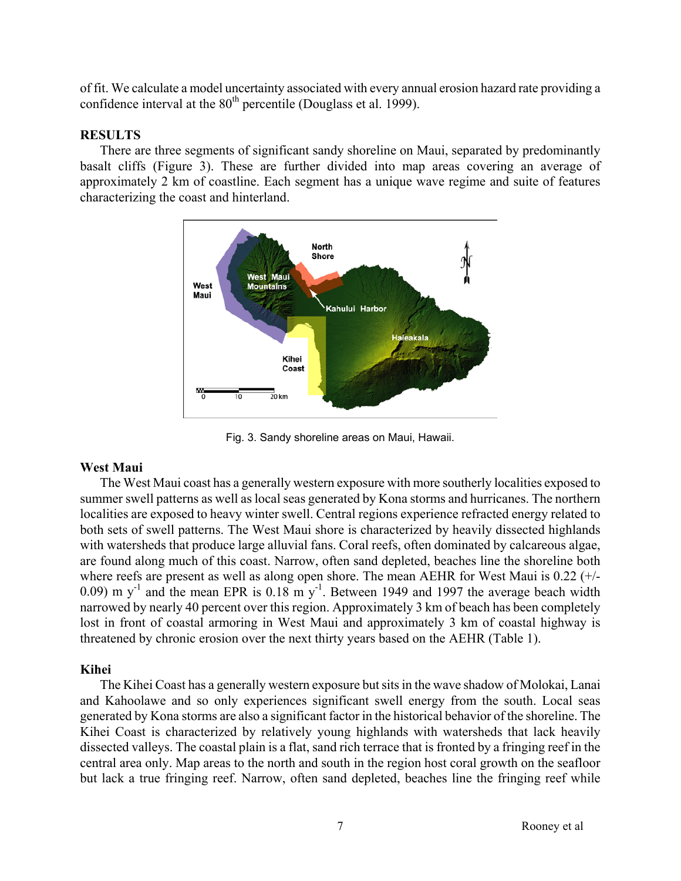of fit. We calculate a model uncertainty associated with every annual erosion hazard rate providing a confidence interval at the  $80<sup>th</sup>$  percentile (Douglass et al. 1999).

## **RESULTS**

There are three segments of significant sandy shoreline on Maui, separated by predominantly basalt cliffs (Figure 3). These are further divided into map areas covering an average of approximately 2 km of coastline. Each segment has a unique wave regime and suite of features characterizing the coast and hinterland.



Fig. 3. Sandy shoreline areas on Maui, Hawaii.

## **West Maui**

The West Maui coast has a generally western exposure with more southerly localities exposed to summer swell patterns as well as local seas generated by Kona storms and hurricanes. The northern localities are exposed to heavy winter swell. Central regions experience refracted energy related to both sets of swell patterns. The West Maui shore is characterized by heavily dissected highlands with watersheds that produce large alluvial fans. Coral reefs, often dominated by calcareous algae, are found along much of this coast. Narrow, often sand depleted, beaches line the shoreline both where reefs are present as well as along open shore. The mean AEHR for West Maui is 0.22 (+/- 0.09) m  $y^{-1}$  and the mean EPR is 0.18 m  $y^{-1}$ . Between 1949 and 1997 the average beach width narrowed by nearly 40 percent over this region. Approximately 3 km of beach has been completely lost in front of coastal armoring in West Maui and approximately 3 km of coastal highway is threatened by chronic erosion over the next thirty years based on the AEHR (Table 1).

## **Kihei**

The Kihei Coast has a generally western exposure but sits in the wave shadow of Molokai, Lanai and Kahoolawe and so only experiences significant swell energy from the south. Local seas generated by Kona storms are also a significant factor in the historical behavior of the shoreline. The Kihei Coast is characterized by relatively young highlands with watersheds that lack heavily dissected valleys. The coastal plain is a flat, sand rich terrace that is fronted by a fringing reef in the central area only. Map areas to the north and south in the region host coral growth on the seafloor but lack a true fringing reef. Narrow, often sand depleted, beaches line the fringing reef while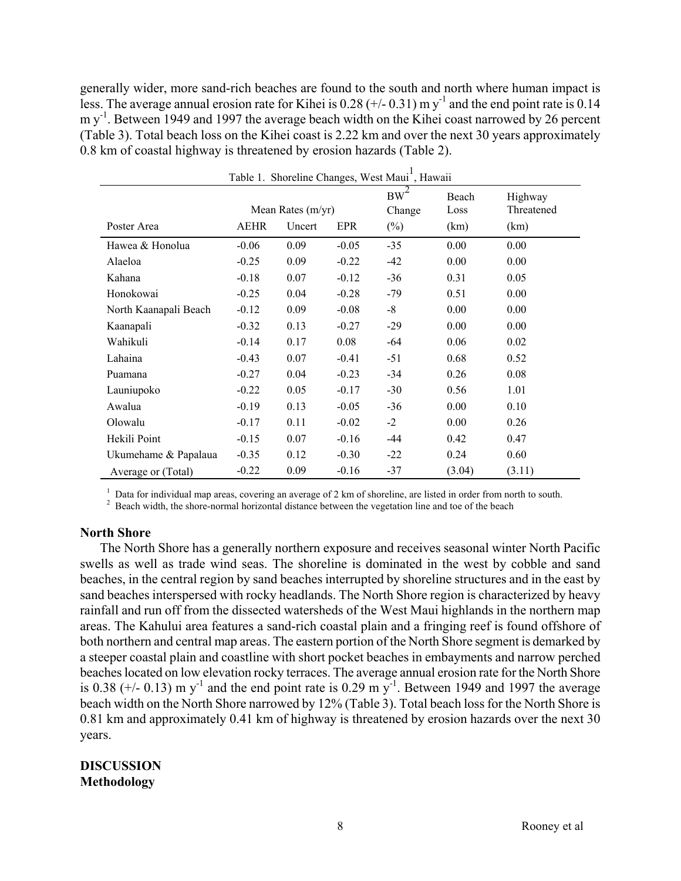generally wider, more sand-rich beaches are found to the south and north where human impact is less. The average annual erosion rate for Kihei is  $0.28$  (+/-  $0.31$ ) m y<sup>-1</sup> and the end point rate is 0.14 m y<sup>-1</sup>. Between 1949 and 1997 the average beach width on the Kihei coast narrowed by 26 percent (Table 3). Total beach loss on the Kihei coast is 2.22 km and over the next 30 years approximately 0.8 km of coastal highway is threatened by erosion hazards (Table 2).

| Table 1. Shoreline Changes, West Maui <sup>+</sup> , Hawaii |                                                     |      |         |                            |                       |                               |  |
|-------------------------------------------------------------|-----------------------------------------------------|------|---------|----------------------------|-----------------------|-------------------------------|--|
| Poster Area                                                 | Mean Rates $(m/yr)$<br><b>AEHR</b><br>EPR<br>Uncert |      |         | $BW^2$<br>Change<br>$(\%)$ | Beach<br>Loss<br>(km) | Highway<br>Threatened<br>(km) |  |
|                                                             |                                                     |      |         |                            |                       |                               |  |
| Hawea & Honolua                                             | $-0.06$                                             | 0.09 | $-0.05$ | $-35$                      | 0.00                  | 0.00                          |  |
| Alaeloa                                                     | $-0.25$                                             | 0.09 | $-0.22$ | $-42$                      | 0.00                  | 0.00                          |  |
| Kahana                                                      | $-0.18$                                             | 0.07 | $-0.12$ | $-36$                      | 0.31                  | 0.05                          |  |
| Honokowai                                                   | $-0.25$                                             | 0.04 | $-0.28$ | $-79$                      | 0.51                  | 0.00                          |  |
| North Kaanapali Beach                                       | $-0.12$                                             | 0.09 | $-0.08$ | $-8$                       | 0.00                  | 0.00                          |  |
| Kaanapali                                                   | $-0.32$                                             | 0.13 | $-0.27$ | $-29$                      | 0.00                  | 0.00                          |  |
| Wahikuli                                                    | $-0.14$                                             | 0.17 | 0.08    | -64                        | 0.06                  | 0.02                          |  |
| Lahaina                                                     | $-0.43$                                             | 0.07 | $-0.41$ | $-51$                      | 0.68                  | 0.52                          |  |
| Puamana                                                     | $-0.27$                                             | 0.04 | $-0.23$ | $-34$                      | 0.26                  | 0.08                          |  |
| Launiupoko                                                  | $-0.22$                                             | 0.05 | $-0.17$ | $-30$                      | 0.56                  | 1.01                          |  |
| Awalua                                                      | $-0.19$                                             | 0.13 | $-0.05$ | $-36$                      | 0.00                  | 0.10                          |  |
| Olowalu                                                     | $-0.17$                                             | 0.11 | $-0.02$ | $-2$                       | 0.00                  | 0.26                          |  |
| Hekili Point                                                | $-0.15$                                             | 0.07 | $-0.16$ | -44                        | 0.42                  | 0.47                          |  |
| Ukumehame & Papalaua                                        | $-0.35$                                             | 0.12 | $-0.30$ | $-22$                      | 0.24                  | 0.60                          |  |
| Average or (Total)                                          | $-0.22$                                             | 0.09 | $-0.16$ | $-37$                      | (3.04)                | (3.11)                        |  |

<sup>1</sup> Data for individual map areas, covering an average of 2 km of shoreline, are listed in order from north to south.<br><sup>2</sup> Boogh width the shore normal horizontal distance between the vegetation line and too of the boogh

<sup>2</sup> Beach width, the shore-normal horizontal distance between the vegetation line and toe of the beach

## **North Shore**

The North Shore has a generally northern exposure and receives seasonal winter North Pacific swells as well as trade wind seas. The shoreline is dominated in the west by cobble and sand beaches, in the central region by sand beaches interrupted by shoreline structures and in the east by sand beaches interspersed with rocky headlands. The North Shore region is characterized by heavy rainfall and run off from the dissected watersheds of the West Maui highlands in the northern map areas. The Kahului area features a sand-rich coastal plain and a fringing reef is found offshore of both northern and central map areas. The eastern portion of the North Shore segment is demarked by a steeper coastal plain and coastline with short pocket beaches in embayments and narrow perched beaches located on low elevation rocky terraces. The average annual erosion rate for the North Shore is 0.38 ( $+/-$  0.13) m y<sup>-1</sup> and the end point rate is 0.29 m y<sup>-1</sup>. Between 1949 and 1997 the average beach width on the North Shore narrowed by 12% (Table 3). Total beach loss for the North Shore is 0.81 km and approximately 0.41 km of highway is threatened by erosion hazards over the next 30 years.

# **DISCUSSION Methodology**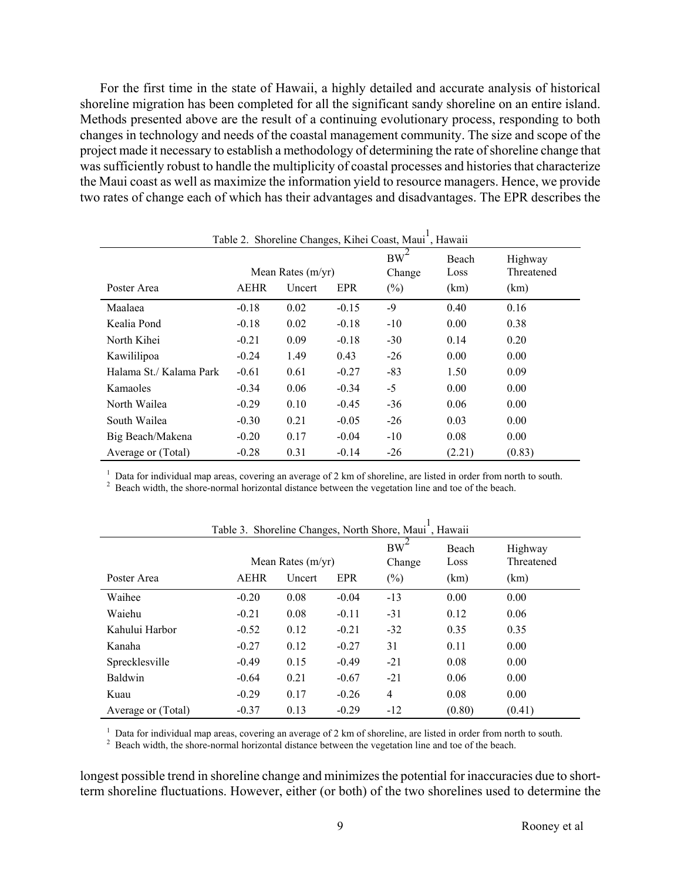For the first time in the state of Hawaii, a highly detailed and accurate analysis of historical shoreline migration has been completed for all the significant sandy shoreline on an entire island. Methods presented above are the result of a continuing evolutionary process, responding to both changes in technology and needs of the coastal management community. The size and scope of the project made it necessary to establish a methodology of determining the rate of shoreline change that was sufficiently robust to handle the multiplicity of coastal processes and histories that characterize the Maui coast as well as maximize the information yield to resource managers. Hence, we provide two rates of change each of which has their advantages and disadvantages. The EPR describes the

| Table 2. Shoreline Changes, Kihei Coast, Maui <sup>1</sup> , Hawaii |                     |        |         |              |               |                       |  |
|---------------------------------------------------------------------|---------------------|--------|---------|--------------|---------------|-----------------------|--|
|                                                                     | Mean Rates $(m/yr)$ |        |         | BW<br>Change | Beach<br>Loss | Highway<br>Threatened |  |
| Poster Area                                                         | <b>AEHR</b>         | Uncert | EPR     | $(\%)$       | (km)          | (km)                  |  |
| Maalaea                                                             | $-0.18$             | 0.02   | $-0.15$ | -9           | 0.40          | 0.16                  |  |
| Kealia Pond                                                         | $-0.18$             | 0.02   | $-0.18$ | $-10$        | 0.00          | 0.38                  |  |
| North Kihei                                                         | $-0.21$             | 0.09   | $-0.18$ | $-30$        | 0.14          | 0.20                  |  |
| Kawililipoa                                                         | $-0.24$             | 1.49   | 0.43    | $-26$        | 0.00          | 0.00                  |  |
| Halama St./Kalama Park                                              | $-0.61$             | 0.61   | $-0.27$ | $-83$        | 1.50          | 0.09                  |  |
| Kamaoles                                                            | $-0.34$             | 0.06   | $-0.34$ | $-5$         | 0.00          | 0.00                  |  |
| North Wailea                                                        | $-0.29$             | 0.10   | $-0.45$ | $-36$        | 0.06          | 0.00                  |  |
| South Wailea                                                        | $-0.30$             | 0.21   | $-0.05$ | $-26$        | 0.03          | 0.00                  |  |
| Big Beach/Makena                                                    | $-0.20$             | 0.17   | $-0.04$ | $-10$        | 0.08          | 0.00                  |  |
| Average or (Total)                                                  | $-0.28$             | 0.31   | $-0.14$ | $-26$        | (2.21)        | (0.83)                |  |

<sup>1</sup> Data for individual map areas, covering an average of 2 km of shoreline, are listed in order from north to south.<br><sup>2</sup> Boogh width the shore normal horizontal distance between the vegetation line and too of the boogh

<sup>2</sup> Beach width, the shore-normal horizontal distance between the vegetation line and toe of the beach.

| raone 5. Shorenne Changes, Forum Shore, Maur., Frawan |                                                     |      |         |                                     |                       |                               |
|-------------------------------------------------------|-----------------------------------------------------|------|---------|-------------------------------------|-----------------------|-------------------------------|
| Poster Area                                           | Mean Rates $(m/yr)$<br><b>AEHR</b><br>EPR<br>Uncert |      |         | BW <sup>-</sup><br>Change<br>$(\%)$ | Beach<br>Loss<br>(km) | Highway<br>Threatened<br>(km) |
| Waihee                                                | $-0.20$                                             | 0.08 | $-0.04$ | $-13$                               | 0.00                  | 0.00                          |
| Waiehu                                                | $-0.21$                                             | 0.08 | $-0.11$ | $-31$                               | 0.12                  | 0.06                          |
| Kahului Harbor                                        | $-0.52$                                             | 0.12 | $-0.21$ | $-32$                               | 0.35                  | 0.35                          |
| Kanaha                                                | $-0.27$                                             | 0.12 | $-0.27$ | 31                                  | 0.11                  | 0.00                          |
| Sprecklesville                                        | $-0.49$                                             | 0.15 | $-0.49$ | $-21$                               | 0.08                  | 0.00                          |
| Baldwin                                               | $-0.64$                                             | 0.21 | $-0.67$ | $-21$                               | 0.06                  | 0.00                          |
| Kuau                                                  | $-0.29$                                             | 0.17 | $-0.26$ | 4                                   | 0.08                  | 0.00                          |
| Average or (Total)                                    | $-0.37$                                             | 0.13 | $-0.29$ | $-12$                               | (0.80)                | (0.41)                        |

Table 3. Shoreline Changes, North Shore, Maui<sup>1</sup>, Hawaii

<sup>1</sup> Data for individual map areas, covering an average of 2 km of shoreline, are listed in order from north to south.<br><sup>2</sup> Beach width, the shore-normal horizontal distance between the vegetation line and toe of the beach.

longest possible trend in shoreline change and minimizes the potential for inaccuracies due to shortterm shoreline fluctuations. However, either (or both) of the two shorelines used to determine the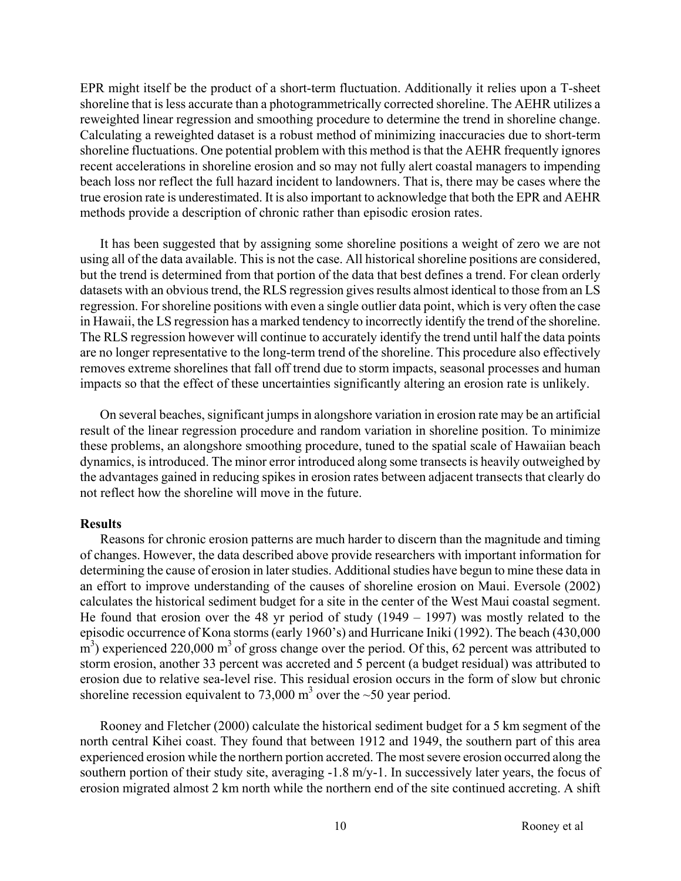EPR might itself be the product of a short-term fluctuation. Additionally it relies upon a T-sheet shoreline that is less accurate than a photogrammetrically corrected shoreline. The AEHR utilizes a reweighted linear regression and smoothing procedure to determine the trend in shoreline change. Calculating a reweighted dataset is a robust method of minimizing inaccuracies due to short-term shoreline fluctuations. One potential problem with this method is that the AEHR frequently ignores recent accelerations in shoreline erosion and so may not fully alert coastal managers to impending beach loss nor reflect the full hazard incident to landowners. That is, there may be cases where the true erosion rate is underestimated. It is also important to acknowledge that both the EPR and AEHR methods provide a description of chronic rather than episodic erosion rates.

It has been suggested that by assigning some shoreline positions a weight of zero we are not using all of the data available. This is not the case. All historical shoreline positions are considered, but the trend is determined from that portion of the data that best defines a trend. For clean orderly datasets with an obvious trend, the RLS regression gives results almost identical to those from an LS regression. For shoreline positions with even a single outlier data point, which is very often the case in Hawaii, the LS regression has a marked tendency to incorrectly identify the trend of the shoreline. The RLS regression however will continue to accurately identify the trend until half the data points are no longer representative to the long-term trend of the shoreline. This procedure also effectively removes extreme shorelines that fall off trend due to storm impacts, seasonal processes and human impacts so that the effect of these uncertainties significantly altering an erosion rate is unlikely.

On several beaches, significant jumps in alongshore variation in erosion rate may be an artificial result of the linear regression procedure and random variation in shoreline position. To minimize these problems, an alongshore smoothing procedure, tuned to the spatial scale of Hawaiian beach dynamics, is introduced. The minor error introduced along some transects is heavily outweighed by the advantages gained in reducing spikes in erosion rates between adjacent transects that clearly do not reflect how the shoreline will move in the future.

#### **Results**

Reasons for chronic erosion patterns are much harder to discern than the magnitude and timing of changes. However, the data described above provide researchers with important information for determining the cause of erosion in later studies. Additional studies have begun to mine these data in an effort to improve understanding of the causes of shoreline erosion on Maui. Eversole (2002) calculates the historical sediment budget for a site in the center of the West Maui coastal segment. He found that erosion over the 48 yr period of study (1949 – 1997) was mostly related to the episodic occurrence of Kona storms (early 1960's) and Hurricane Iniki (1992). The beach (430,000  $\text{m}^3$ ) experienced 220,000 m<sup>3</sup> of gross change over the period. Of this, 62 percent was attributed to storm erosion, another 33 percent was accreted and 5 percent (a budget residual) was attributed to erosion due to relative sea-level rise. This residual erosion occurs in the form of slow but chronic shoreline recession equivalent to 73,000 m<sup>3</sup> over the  $\sim$  50 year period.

Rooney and Fletcher (2000) calculate the historical sediment budget for a 5 km segment of the north central Kihei coast. They found that between 1912 and 1949, the southern part of this area experienced erosion while the northern portion accreted. The most severe erosion occurred along the southern portion of their study site, averaging -1.8 m/y-1. In successively later years, the focus of erosion migrated almost 2 km north while the northern end of the site continued accreting. A shift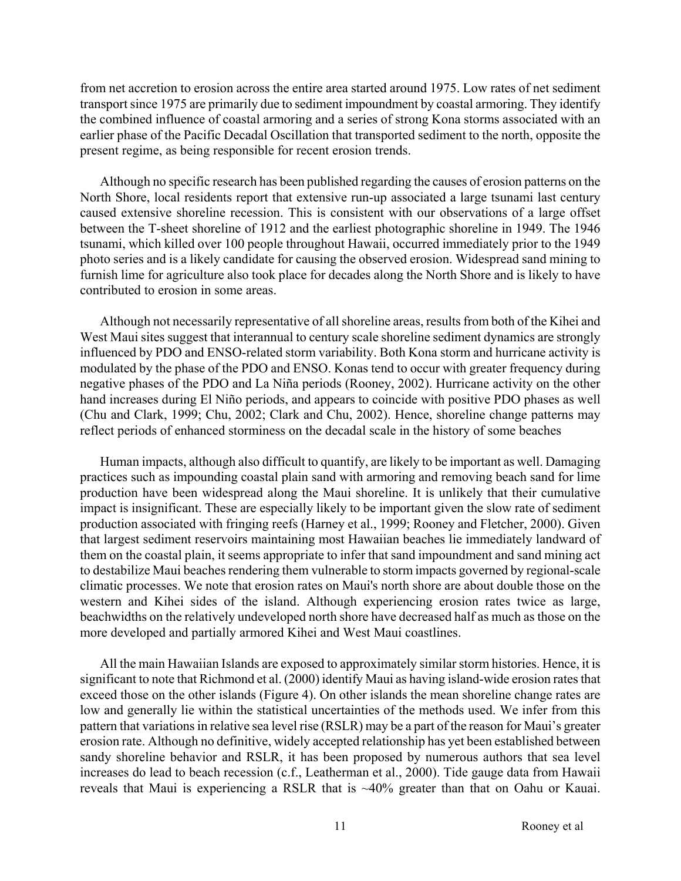from net accretion to erosion across the entire area started around 1975. Low rates of net sediment transport since 1975 are primarily due to sediment impoundment by coastal armoring. They identify the combined influence of coastal armoring and a series of strong Kona storms associated with an earlier phase of the Pacific Decadal Oscillation that transported sediment to the north, opposite the present regime, as being responsible for recent erosion trends.

Although no specific research has been published regarding the causes of erosion patterns on the North Shore, local residents report that extensive run-up associated a large tsunami last century caused extensive shoreline recession. This is consistent with our observations of a large offset between the T-sheet shoreline of 1912 and the earliest photographic shoreline in 1949. The 1946 tsunami, which killed over 100 people throughout Hawaii, occurred immediately prior to the 1949 photo series and is a likely candidate for causing the observed erosion. Widespread sand mining to furnish lime for agriculture also took place for decades along the North Shore and is likely to have contributed to erosion in some areas.

Although not necessarily representative of all shoreline areas, results from both of the Kihei and West Maui sites suggest that interannual to century scale shoreline sediment dynamics are strongly influenced by PDO and ENSO-related storm variability. Both Kona storm and hurricane activity is modulated by the phase of the PDO and ENSO. Konas tend to occur with greater frequency during negative phases of the PDO and La Niña periods (Rooney, 2002). Hurricane activity on the other hand increases during El Niño periods, and appears to coincide with positive PDO phases as well (Chu and Clark, 1999; Chu, 2002; Clark and Chu, 2002). Hence, shoreline change patterns may reflect periods of enhanced storminess on the decadal scale in the history of some beaches

Human impacts, although also difficult to quantify, are likely to be important as well. Damaging practices such as impounding coastal plain sand with armoring and removing beach sand for lime production have been widespread along the Maui shoreline. It is unlikely that their cumulative impact is insignificant. These are especially likely to be important given the slow rate of sediment production associated with fringing reefs (Harney et al., 1999; Rooney and Fletcher, 2000). Given that largest sediment reservoirs maintaining most Hawaiian beaches lie immediately landward of them on the coastal plain, it seems appropriate to infer that sand impoundment and sand mining act to destabilize Maui beaches rendering them vulnerable to storm impacts governed by regional-scale climatic processes. We note that erosion rates on Maui's north shore are about double those on the western and Kihei sides of the island. Although experiencing erosion rates twice as large, beachwidths on the relatively undeveloped north shore have decreased half as much as those on the more developed and partially armored Kihei and West Maui coastlines.

All the main Hawaiian Islands are exposed to approximately similar storm histories. Hence, it is significant to note that Richmond et al. (2000) identify Maui as having island-wide erosion rates that exceed those on the other islands (Figure 4). On other islands the mean shoreline change rates are low and generally lie within the statistical uncertainties of the methods used. We infer from this pattern that variations in relative sea level rise (RSLR) may be a part of the reason for Maui's greater erosion rate. Although no definitive, widely accepted relationship has yet been established between sandy shoreline behavior and RSLR, it has been proposed by numerous authors that sea level increases do lead to beach recession (c.f., Leatherman et al., 2000). Tide gauge data from Hawaii reveals that Maui is experiencing a RSLR that is ~40% greater than that on Oahu or Kauai.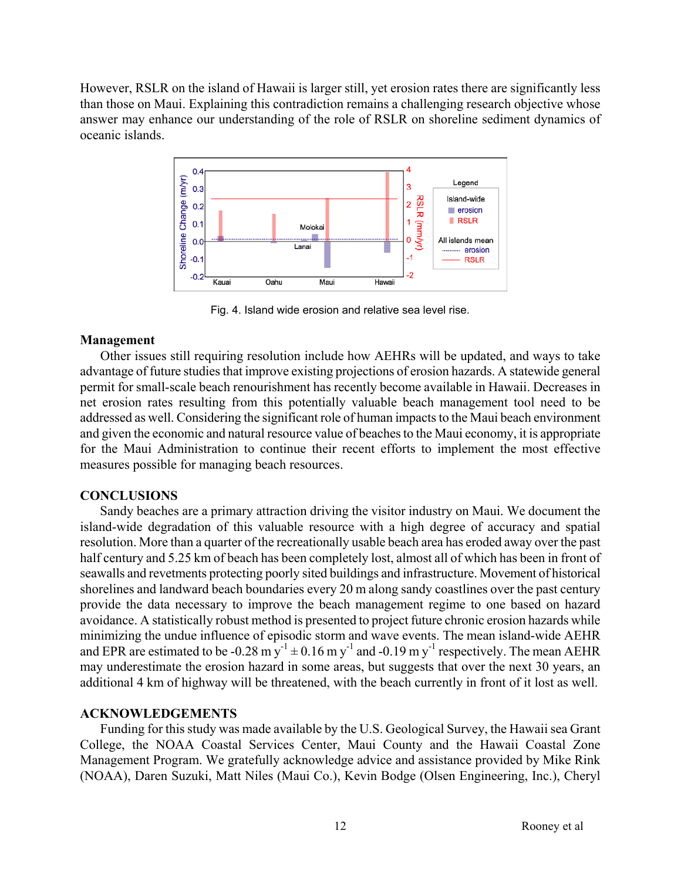However, RSLR on the island of Hawaii is larger still, yet erosion rates there are significantly less than those on Maui. Explaining this contradiction remains a challenging research objective whose answer may enhance our understanding of the role of RSLR on shoreline sediment dynamics of oceanic islands.



Fig. 4. Island wide erosion and relative sea level rise.

## **Management**

Other issues still requiring resolution include how AEHRs will be updated, and ways to take advantage of future studies that improve existing projections of erosion hazards. A statewide general permit for small-scale beach renourishment has recently become available in Hawaii. Decreases in net erosion rates resulting from this potentially valuable beach management tool need to be addressed as well. Considering the significant role of human impacts to the Maui beach environment and given the economic and natural resource value of beaches to the Maui economy, it is appropriate for the Maui Administration to continue their recent efforts to implement the most effective measures possible for managing beach resources.

## **CONCLUSIONS**

Sandy beaches are a primary attraction driving the visitor industry on Maui. We document the island-wide degradation of this valuable resource with a high degree of accuracy and spatial resolution. More than a quarter of the recreationally usable beach area has eroded away over the past half century and 5.25 km of beach has been completely lost, almost all of which has been in front of seawalls and revetments protecting poorly sited buildings and infrastructure. Movement of historical shorelines and landward beach boundaries every 20 m along sandy coastlines over the past century provide the data necessary to improve the beach management regime to one based on hazard avoidance. A statistically robust method is presented to project future chronic erosion hazards while minimizing the undue influence of episodic storm and wave events. The mean island-wide AEHR and EPR are estimated to be -0.28 m  $y^{-1}$   $\pm$  0.16 m y<sup>-1</sup> and -0.19 m y<sup>-1</sup> respectively. The mean AEHR may underestimate the erosion hazard in some areas, but suggests that over the next 30 years, an additional 4 km of highway will be threatened, with the beach currently in front of it lost as well.

## **ACKNOWLEDGEMENTS**

Funding for this study was made available by the U.S. Geological Survey, the Hawaii sea Grant College, the NOAA Coastal Services Center, Maui County and the Hawaii Coastal Zone Management Program. We gratefully acknowledge advice and assistance provided by Mike Rink (NOAA), Daren Suzuki, Matt Niles (Maui Co.), Kevin Bodge (Olsen Engineering, Inc.), Cheryl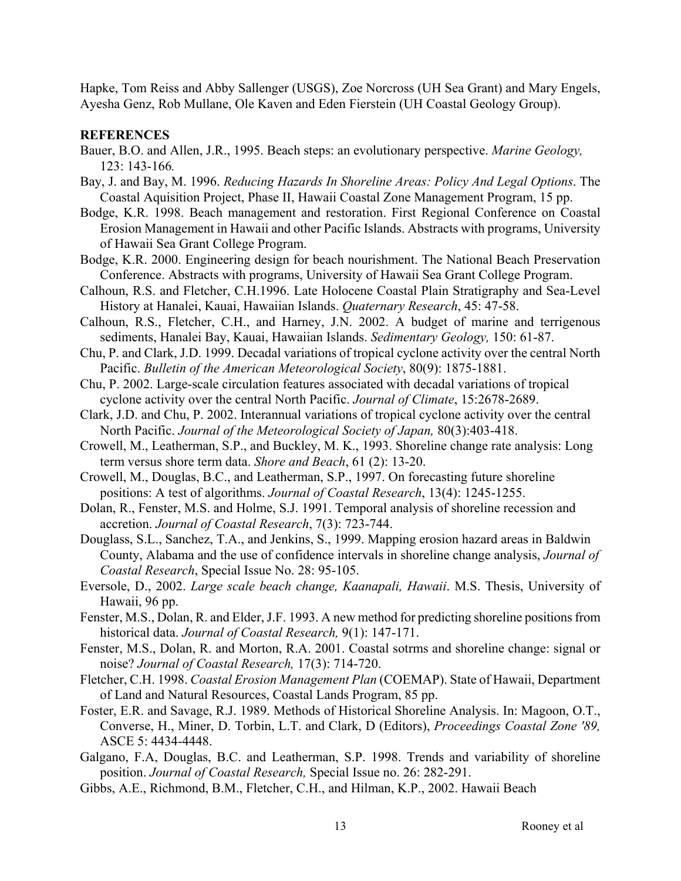Hapke, Tom Reiss and Abby Sallenger (USGS), Zoe Norcross (UH Sea Grant) and Mary Engels, Ayesha Genz, Rob Mullane, Ole Kaven and Eden Fierstein (UH Coastal Geology Group).

## **REFERENCES**

- Bauer, B.O. and Allen, J.R., 1995. Beach steps: an evolutionary perspective. *Marine Geology,*  123: 143-166*.*
- Bay, J. and Bay, M. 1996. *Reducing Hazards In Shoreline Areas: Policy And Legal Options*. The Coastal Aquisition Project, Phase II, Hawaii Coastal Zone Management Program, 15 pp.
- Bodge, K.R. 1998. Beach management and restoration. First Regional Conference on Coastal Erosion Management in Hawaii and other Pacific Islands. Abstracts with programs, University of Hawaii Sea Grant College Program.
- Bodge, K.R. 2000. Engineering design for beach nourishment. The National Beach Preservation Conference. Abstracts with programs, University of Hawaii Sea Grant College Program.
- Calhoun, R.S. and Fletcher, C.H.1996. Late Holocene Coastal Plain Stratigraphy and Sea-Level History at Hanalei, Kauai, Hawaiian Islands. *Quaternary Research*, 45: 47-58.
- Calhoun, R.S., Fletcher, C.H., and Harney, J.N. 2002. A budget of marine and terrigenous sediments, Hanalei Bay, Kauai, Hawaiian Islands. *Sedimentary Geology,* 150: 61-87.
- Chu, P. and Clark, J.D. 1999. Decadal variations of tropical cyclone activity over the central North Pacific. *Bulletin of the American Meteorological Society*, 80(9): 1875-1881.
- Chu, P. 2002. Large-scale circulation features associated with decadal variations of tropical cyclone activity over the central North Pacific. *Journal of Climate*, 15:2678-2689.
- Clark, J.D. and Chu, P. 2002. Interannual variations of tropical cyclone activity over the central North Pacific. *Journal of the Meteorological Society of Japan,* 80(3):403-418.
- Crowell, M., Leatherman, S.P., and Buckley, M. K., 1993. Shoreline change rate analysis: Long term versus shore term data. *Shore and Beach*, 61 (2): 13-20.
- Crowell, M., Douglas, B.C., and Leatherman, S.P., 1997. On forecasting future shoreline positions: A test of algorithms. *Journal of Coastal Research*, 13(4): 1245-1255.
- Dolan, R., Fenster, M.S. and Holme, S.J. 1991. Temporal analysis of shoreline recession and accretion. *Journal of Coastal Research*, 7(3): 723-744.
- Douglass, S.L., Sanchez, T.A., and Jenkins, S., 1999. Mapping erosion hazard areas in Baldwin County, Alabama and the use of confidence intervals in shoreline change analysis, *Journal of Coastal Research*, Special Issue No. 28: 95-105.
- Eversole, D., 2002. *Large scale beach change, Kaanapali, Hawaii*. M.S. Thesis, University of Hawaii, 96 pp.
- Fenster, M.S., Dolan, R. and Elder, J.F. 1993. A new method for predicting shoreline positions from historical data. *Journal of Coastal Research,* 9(1): 147-171.
- Fenster, M.S., Dolan, R. and Morton, R.A. 2001. Coastal sotrms and shoreline change: signal or noise? *Journal of Coastal Research,* 17(3): 714-720.
- Fletcher, C.H. 1998. *Coastal Erosion Management Plan* (COEMAP). State of Hawaii, Department of Land and Natural Resources, Coastal Lands Program, 85 pp.
- Foster, E.R. and Savage, R.J. 1989. Methods of Historical Shoreline Analysis. In: Magoon, O.T., Converse, H., Miner, D. Torbin, L.T. and Clark, D (Editors), *Proceedings Coastal Zone '89,* ASCE 5: 4434-4448.
- Galgano, F.A, Douglas, B.C. and Leatherman, S.P. 1998. Trends and variability of shoreline position. *Journal of Coastal Research,* Special Issue no. 26: 282-291.
- Gibbs, A.E., Richmond, B.M., Fletcher, C.H., and Hilman, K.P., 2002. Hawaii Beach